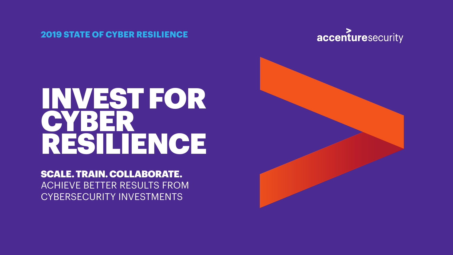#### **2019 STATE OF CYBER RESILIENCE**





# INVEST FOR **CYBER** RESILIENCE

## SCALE. TRAIN. COLLABORATE. ACHIEVE BETTER RESULTS FROM CYBERSECURITY INVESTMENTS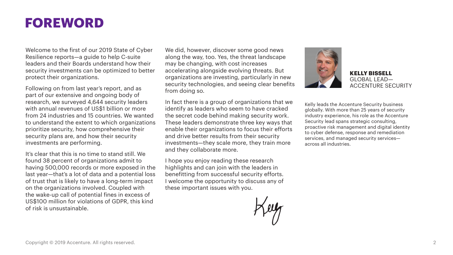## **FOREWORD**

Welcome to the first of our 2019 State of Cyber Resilience reports—a guide to help C-suite leaders and their Boards understand how their security investments can be optimized to better protect their organizations.

Following on from last year's report, and as part of our extensive and ongoing body of research, we surveyed 4,644 security leaders with annual revenues of US\$1 billion or more from 24 industries and 15 countries. We wanted to understand the extent to which organizations prioritize security, how comprehensive their security plans are, and how their security investments are performing.

It's clear that this is no time to stand still. We found 38 percent of organizations admit to having 500,000 records or more exposed in the last year—that's a lot of data and a potential loss of trust that is likely to have a long-term impact on the organizations involved. Coupled with the wake-up call of potential fines in excess of US\$100 million for violations of GDPR, this kind of risk is unsustainable.

We did, however, discover some good news along the way, too. Yes, the threat landscape may be changing, with cost increases accelerating alongside evolving threats. But organizations are investing, particularly in new security technologies, and seeing clear benefits from doing so.

In fact there is a group of organizations that we identify as leaders who seem to have cracked the secret code behind making security work. These leaders demonstrate three key ways that enable their organizations to focus their efforts and drive better results from their security investments—they scale more, they train more and they collaborate more.

I hope you enjoy reading these research highlights and can join with the leaders in benefitting from successful security efforts. I welcome the opportunity to discuss any of these important issues with you.





**KELLY BISSELL** GLOBAL LEAD— ACCENTURE SECURITY

Kelly leads the Accenture Security business globally. With more than 25 years of security industry experience, his role as the Accenture Security lead spans strategic consulting. proactive risk management and digital identity to cyber defense, response and remediation services, and managed security services across all industries.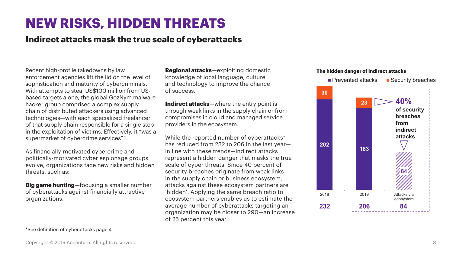## **NEW RISKS, HIDDEN THREATS**

### **Indirect attacks mask the true scale of cyberattacks**

Recent high-profile takedowns by law enforcement agencies lift the lid on the level of sophistication and maturity of cybercriminals. With attempts to steal US\$100 million from USbased targets alone, the global GozNym malware hacker group comprised a complex supply chain of distributed attackers using advanced technologies—with each specialized freelancer of that supply chain responsible for a single step in the exploitation of victims. Effectively, it "was a supermarket of cybercrime services".<sup>1</sup>

As financially-motivated cybercrime and politically-motivated cyber espionage groups evolve, organizations face new risks and hidden threats, such as:

**Big game hunting**—focusing a smaller number of cyberattacks against financially attractive organizations.

\*See definition of cyberattacks page 4

**Regional attacks**—exploiting domestic knowledge of local language, culture and technology to improve the chance of success.

**Indirect attacks**—where the entry point is through weak links in the supply chain or from compromises in cloud and managed service providers in the ecosystem.

While the reported number of cyberattacks<sup>\*</sup> has reduced from 232 to 206 in the last year in line with these trends—indirect attacks represent a hidden danger that masks the true scale of cyber threats. Since 40 percent of security breaches originate from weak links in the supply chain or business ecosystem, attacks against these ecosystem partners are 'hidden'. Applying the same breach ratio to ecosystem partners enables us to estimate the average number of cyberattacks targeting an organization may be closer to 290—an increase of 25 percent this year.

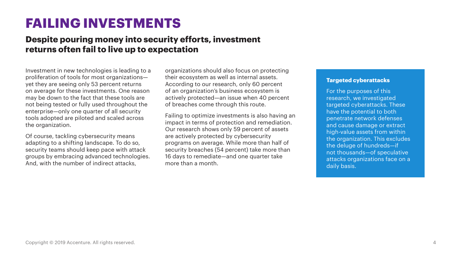## **FAILING INVESTMENTS**

## **Despite pouring money into security efforts, investment returns often fail to live up to expectation**

Investment in new technologies is leading to a proliferation of tools for most organizations yet they are seeing only 53 percent returns on average for these investments. One reason may be down to the fact that these tools are not being tested or fully used throughout the enterprise—only one quarter of all security tools adopted are piloted and scaled across the organization.

Of course, tackling cybersecurity means adapting to a shifting landscape. To do so, security teams should keep pace with attack groups by embracing advanced technologies. And, with the number of indirect attacks,

organizations should also focus on protecting their ecosystem as well as internal assets. According to our research, only 60 percent of an organization's business ecosystem is actively protected—an issue when 40 percent of breaches come through this route.

Failing to optimize investments is also having an impact in terms of protection and remediation. Our research shows only 59 percent of assets are actively protected by cybersecurity programs on average. While more than half of security breaches (54 percent) take more than 16 days to remediate—and one quarter take more than a month.

#### **Targeted cyberattacks**

For the purposes of this research, we investigated targeted cyberattacks. These have the potential to both penetrate network defenses and cause damage or extract high-value assets from within the organization. This excludes the deluge of hundreds—if not thousands—of speculative attacks organizations face on a daily basis.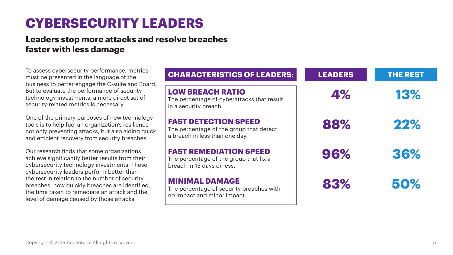## **CYBERSECURITY LEADERS**

## **Leaders stop more attacks and resolve breaches faster with less damage**

To assess cybersecurity performance, metrics must be presented in the language of the business to better engage the C-suite and Board. But to evaluate the performance of security technology investments, a more direct set of security-related metrics is necessary.

One of the primary purposes of new technology tools is to help fuel an organization's resilience not only preventing attacks, but also aiding quick and efficient recovery from security breaches.

Our research finds that some organizations achieve significantly better results from their cybersecurity technology investments. These cybersecurity leaders perform better than the rest in relation to the number of security breaches, how quickly breaches are identified, the time taken to remediate an attack and the level of damage caused by those attacks.

| <b>CHARACTERISTICS OF LEADERS:</b>                                                                       | <b>LEADERS</b> | <b>THE REST</b> |
|----------------------------------------------------------------------------------------------------------|----------------|-----------------|
| <b>LOW BREACH RATIO</b><br>The percentage of cyberattacks that result<br>in a security breach.           | 4%             | 13%             |
| <b>FAST DETECTION SPEED</b><br>The percentage of the group that detect<br>a breach in less than one day. | 88%            | 22%             |
| <b>FAST REMEDIATION SPEED</b><br>The percentage of the group that fix a<br>breach in 15 days or less.    | 96%            | 36%             |
| <b>MINIMAL DAMAGE</b><br>The percentage of security breaches with<br>no impact and minor impact.         | 83%            | 50%             |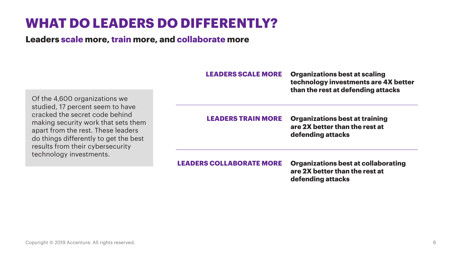### Copyright © 2019 Accenture. All rights reserved. 6

## **WHAT DO LEADERS DO DIFFERENTLY?**

**Leaders scale more, train more, and collaborate more**

Of the 4,600 organizations we studied, 17 percent seem to have cracked the secret code behind making security work that sets them apart from the rest. These leaders do things differently to get the best results from their cybersecurity technology investments.

**LEADERS SCALE MORE Organizations best at scaling technology investments are 4X better than the rest at defending attacks**

**LEADERS TRAIN MORE Organizations best at training are 2X better than the rest at defending attacks**

**LEADERS COLLABORATE MORE Organizations best at collaborating are 2X better than the rest at defending attacks**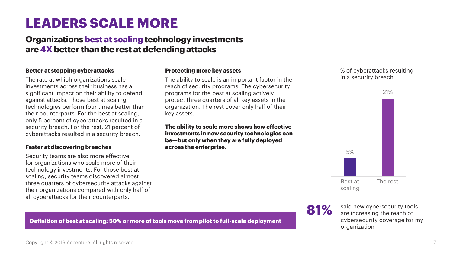## **LEADERS SCALE MORE**

## **Organizations best at scaling technology investments are 4X better than the rest at defending attacks**

#### **Better at stopping cyberattacks**

The rate at which organizations scale investments across their business has a significant impact on their ability to defend against attacks. Those best at scaling technologies perform four times better than their counterparts. For the best at scaling, only 5 percent of cyberattacks resulted in a security breach. For the rest, 21 percent of cyberattacks resulted in a security breach.

#### **Faster at discovering breaches**

Security teams are also more effective for organizations who scale more of their technology investments. For those best at scaling, security teams discovered almost three quarters of cybersecurity attacks against their organizations compared with only half of all cyberattacks for their counterparts.

#### **Protecting more key assets**

The ability to scale is an important factor in the reach of security programs. The cybersecurity programs for the best at scaling actively protect three quarters of all key assets in the organization. The rest cover only half of their key assets.

**The ability to scale more shows how effective investments in new security technologies can be—but only when they are fully deployed across the enterprise.**

% of cyberattacks resulting in a security breach





81% said new cybersecurity tools<br> **81%** are increasing the reach of cybersecurity coverage for my organization

#### **Definition of best at scaling: 50% or more of tools move from pilot to full-scale deployment**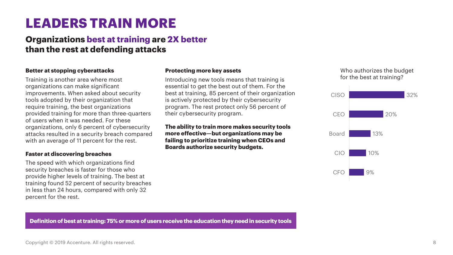## **LEADERS TRAIN MORE**

### **Organizations best at training are 2X better than the rest at defending attacks**

#### **Better at stopping cyberattacks**

Training is another area where most organizations can make significant improvements. When asked about security tools adopted by their organization that require training, the best organizations provided training for more than three-quarters of users when it was needed. For these organizations, only 6 percent of cybersecurity attacks resulted in a security breach compared with an average of 11 percent for the rest.

#### **Faster at discovering breaches**

The speed with which organizations find security breaches is faster for those who provide higher levels of training. The best at training found 52 percent of security breaches in less than 24 hours, compared with only 32 percent for the rest.

#### **Protecting more key assets**

Introducing new tools means that training is essential to get the best out of them. For the best at training, 85 percent of their organization is actively protected by their cybersecurity program. The rest protect only 56 percent of their cybersecurity program.

**The ability to train more makes security tools more effective—but organizations may be failing to prioritize training when CEOs and Boards authorize security budgets.**

#### Who authorizes the budget for the best at training?



**Definition of best at training: 75% or more of users receive the education they need in security tools**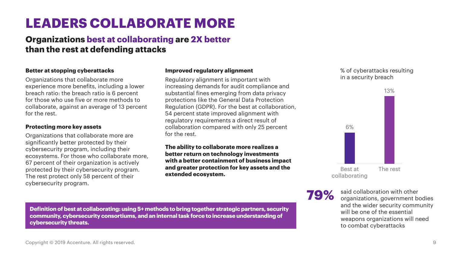## **than the rest at defending attacks**

**LEADERS COLLABORATE MORE**

**Organizations best at collaborating are 2X better**

#### **Better at stopping cyberattacks**

Organizations that collaborate more experience more benefits, including a lower breach ratio: the breach ratio is 6 percent for those who use five or more methods to collaborate, against an average of 13 percent for the rest.

#### **Protecting more key assets**

Organizations that collaborate more are significantly better protected by their cybersecurity program, including their ecosystems. For those who collaborate more, 67 percent of their organization is actively protected by their cybersecurity program. The rest protect only 58 percent of their cybersecurity program.

#### **Improved regulatory alignment**

Regulatory alignment is important with increasing demands for audit compliance and substantial fines emerging from data privacy protections like the General Data Protection Regulation (GDPR). For the best at collaboration, 54 percent state improved alignment with regulatory requirements a direct result of collaboration compared with only 25 percent for the rest.

**The ability to collaborate more realizes a better return on technology investments with a better containment of business impact and greater protection for key assets and the extended ecosystem.** 

#### % of cyberattacks resulting in a security breach



**79%** said collaboration with other<br>
organizations, government bodies and the wider security community will be one of the essential weapons organizations will need to combat cyberattacks

**Definition of best at collaborating: using 5+ methods to bring together strategic partners, security community, cybersecurity consortiums, and an internal task force to increase understanding of cybersecurity threats.**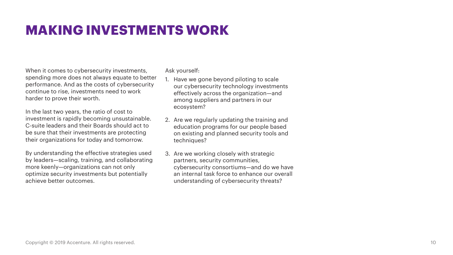## **MAKING INVESTMENTS WORK**

When it comes to cybersecurity investments, spending more does not always equate to better performance. And as the costs of cybersecurity continue to rise, investments need to work harder to prove their worth.

In the last two years, the ratio of cost to investment is rapidly becoming unsustainable. C-suite leaders and their Boards should act to be sure that their investments are protecting their organizations for today and tomorrow.

By understanding the effective strategies used by leaders—scaling, training, and collaborating more keenly—organizations can not only optimize security investments but potentially achieve better outcomes.

Ask yourself:

- 1. Have we gone beyond piloting to scale our cybersecurity technology investments effectively across the organization—and among suppliers and partners in our ecosystem?
- 2. Are we regularly updating the training and education programs for our people based on existing and planned security tools and techniques?
- 3. Are we working closely with strategic partners, security communities, cybersecurity consortiums—and do we have an internal task force to enhance our overall understanding of cybersecurity threats?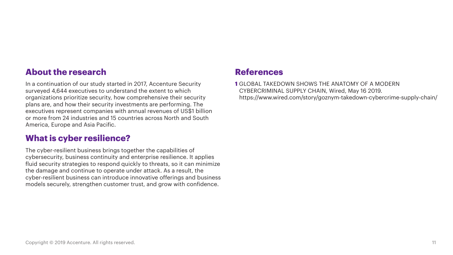### **About the research**

In a continuation of our study started in 2017, Accenture Security surveyed 4,644 executives to understand the extent to which organizations prioritize security, how comprehensive their security plans are, and how their security investments are performing. The executives represent companies with annual revenues of US\$1 billion or more from 24 industries and 15 countries across North and South America, Europe and Asia Pacific.

### **What is cyber resilience?**

The cyber-resilient business brings together the capabilities of cybersecurity, business continuity and enterprise resilience. It applies fluid security strategies to respond quickly to threats, so it can minimize the damage and continue to operate under attack. As a result, the cyber-resilient business can introduce innovative offerings and business models securely, strengthen customer trust, and grow with confidence.

### **References**

**1** GLOBAL TAKEDOWN SHOWS THE ANATOMY OF A MODERN CYBERCRIMINAL SUPPLY CHAIN, Wired, May 16 2019. https://www.wired.com/story/goznym-takedown-cybercrime-supply-chain/